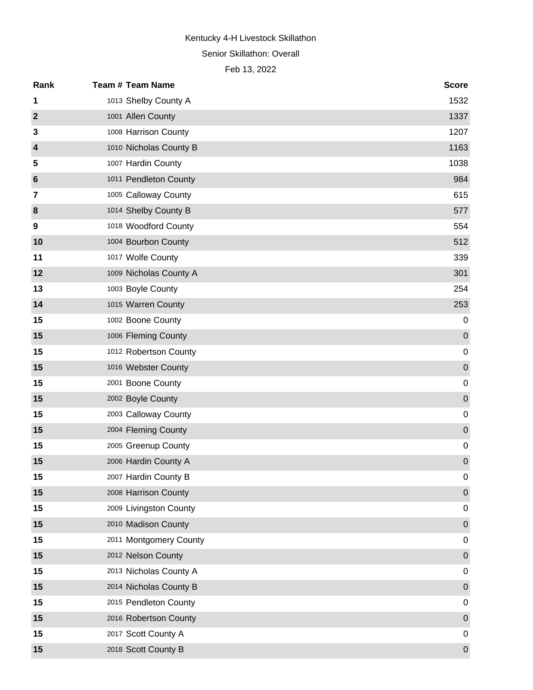### Senior Skillathon: Overall

| Rank           | <b>Team # Team Name</b> | <b>Score</b>     |
|----------------|-------------------------|------------------|
| 1              | 1013 Shelby County A    | 1532             |
| $\mathbf{2}$   | 1001 Allen County       | 1337             |
| 3              | 1008 Harrison County    | 1207             |
| $\overline{4}$ | 1010 Nicholas County B  | 1163             |
| 5              | 1007 Hardin County      | 1038             |
| 6              | 1011 Pendleton County   | 984              |
| 7              | 1005 Calloway County    | 615              |
| 8              | 1014 Shelby County B    | 577              |
| 9              | 1018 Woodford County    | 554              |
| 10             | 1004 Bourbon County     | 512              |
| 11             | 1017 Wolfe County       | 339              |
| 12             | 1009 Nicholas County A  | 301              |
| 13             | 1003 Boyle County       | 254              |
| 14             | 1015 Warren County      | 253              |
| 15             | 1002 Boone County       | 0                |
| 15             | 1006 Fleming County     | $\pmb{0}$        |
| 15             | 1012 Robertson County   | $\pmb{0}$        |
| 15             | 1016 Webster County     | $\boldsymbol{0}$ |
| 15             | 2001 Boone County       | $\pmb{0}$        |
| 15             | 2002 Boyle County       | $\boldsymbol{0}$ |
| 15             | 2003 Calloway County    | $\pmb{0}$        |
| 15             | 2004 Fleming County     | $\boldsymbol{0}$ |
| 15             | 2005 Greenup County     | 0                |
| 15             | 2006 Hardin County A    | $\pmb{0}$        |
| 15             | 2007 Hardin County B    | 0                |
| 15             | 2008 Harrison County    | $\boldsymbol{0}$ |
| 15             | 2009 Livingston County  | 0                |
| 15             | 2010 Madison County     | $\boldsymbol{0}$ |
| 15             | 2011 Montgomery County  | 0                |
| 15             | 2012 Nelson County      | $\mathbf 0$      |
| 15             | 2013 Nicholas County A  | 0                |
| 15             | 2014 Nicholas County B  | $\mathbf 0$      |
| 15             | 2015 Pendleton County   | 0                |
| 15             | 2016 Robertson County   | $\mathbf 0$      |
| 15             | 2017 Scott County A     | 0                |
| 15             | 2018 Scott County B     | $\pmb{0}$        |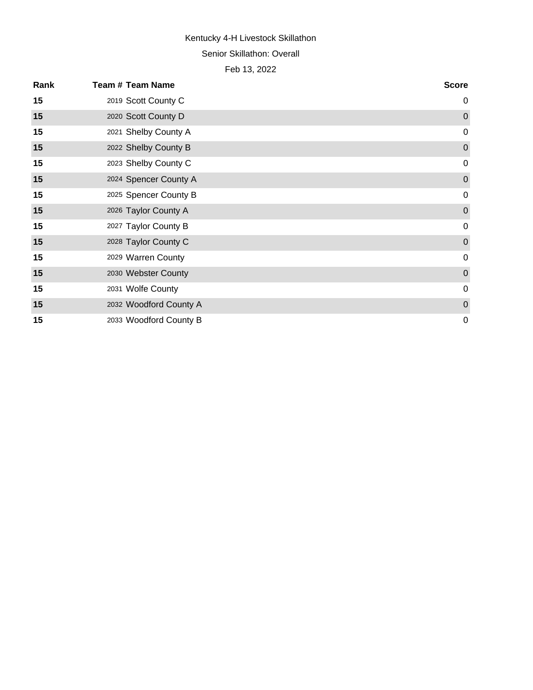#### Senior Skillathon: Overall

| Rank | <b>Team # Team Name</b> | <b>Score</b>   |
|------|-------------------------|----------------|
| 15   | 2019 Scott County C     | $\mathbf 0$    |
| 15   | 2020 Scott County D     | $\overline{0}$ |
| 15   | 2021 Shelby County A    | $\mathbf 0$    |
| 15   | 2022 Shelby County B    | $\pmb{0}$      |
| 15   | 2023 Shelby County C    | $\mathbf 0$    |
| 15   | 2024 Spencer County A   | $\overline{0}$ |
| 15   | 2025 Spencer County B   | $\mathbf 0$    |
| 15   | 2026 Taylor County A    | $\mathbf 0$    |
| 15   | 2027 Taylor County B    | $\mathbf 0$    |
| 15   | 2028 Taylor County C    | $\pmb{0}$      |
| 15   | 2029 Warren County      | $\mathbf 0$    |
| 15   | 2030 Webster County     | $\mathbf 0$    |
| 15   | 2031 Wolfe County       | $\mathbf 0$    |
| 15   | 2032 Woodford County A  | $\mathbf 0$    |
| 15   | 2033 Woodford County B  | $\mathbf 0$    |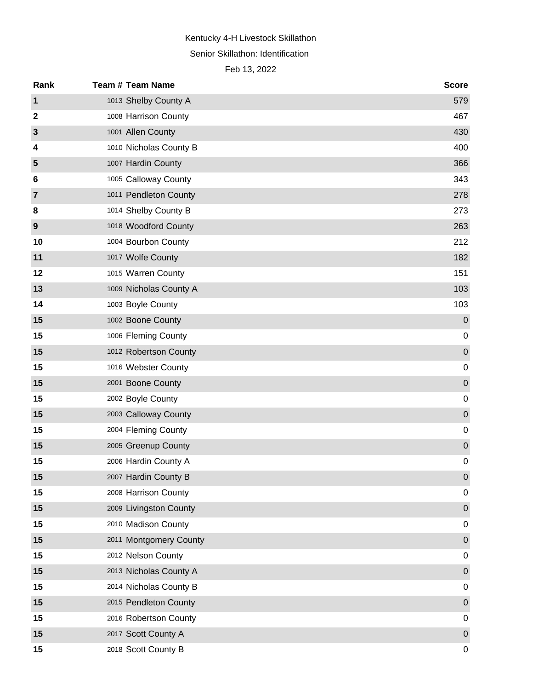Senior Skillathon: Identification

| Rank           | <b>Team # Team Name</b> | <b>Score</b> |
|----------------|-------------------------|--------------|
| 1              | 1013 Shelby County A    | 579          |
| $\mathbf{2}$   | 1008 Harrison County    | 467          |
| 3              | 1001 Allen County       | 430          |
| 4              | 1010 Nicholas County B  | 400          |
| 5              | 1007 Hardin County      | 366          |
| 6              | 1005 Calloway County    | 343          |
| $\overline{7}$ | 1011 Pendleton County   | 278          |
| 8              | 1014 Shelby County B    | 273          |
| 9              | 1018 Woodford County    | 263          |
| 10             | 1004 Bourbon County     | 212          |
| 11             | 1017 Wolfe County       | 182          |
| 12             | 1015 Warren County      | 151          |
| 13             | 1009 Nicholas County A  | 103          |
| 14             | 1003 Boyle County       | 103          |
| 15             | 1002 Boone County       | $\mathbf 0$  |
| 15             | 1006 Fleming County     | 0            |
| 15             | 1012 Robertson County   | $\pmb{0}$    |
| 15             | 1016 Webster County     | $\mathbf 0$  |
| 15             | 2001 Boone County       | $\pmb{0}$    |
| 15             | 2002 Boyle County       | $\mathbf 0$  |
| 15             | 2003 Calloway County    | $\pmb{0}$    |
| 15             | 2004 Fleming County     | $\mathbf 0$  |
| 15             | 2005 Greenup County     | $\pmb{0}$    |
| 15             | 2006 Hardin County A    | $\mathbf 0$  |
| 15             | 2007 Hardin County B    | $\mathbf 0$  |
| 15             | 2008 Harrison County    | 0            |
| 15             | 2009 Livingston County  | $\pmb{0}$    |
| 15             | 2010 Madison County     | $\mathbf 0$  |
| 15             | 2011 Montgomery County  | $\pmb{0}$    |
| 15             | 2012 Nelson County      | $\mathbf 0$  |
| 15             | 2013 Nicholas County A  | $\pmb{0}$    |
| 15             | 2014 Nicholas County B  | $\mathbf 0$  |
| 15             | 2015 Pendleton County   | $\pmb{0}$    |
| 15             | 2016 Robertson County   | $\mathbf 0$  |
| 15             | 2017 Scott County A     | $\pmb{0}$    |
| 15             | 2018 Scott County B     | 0            |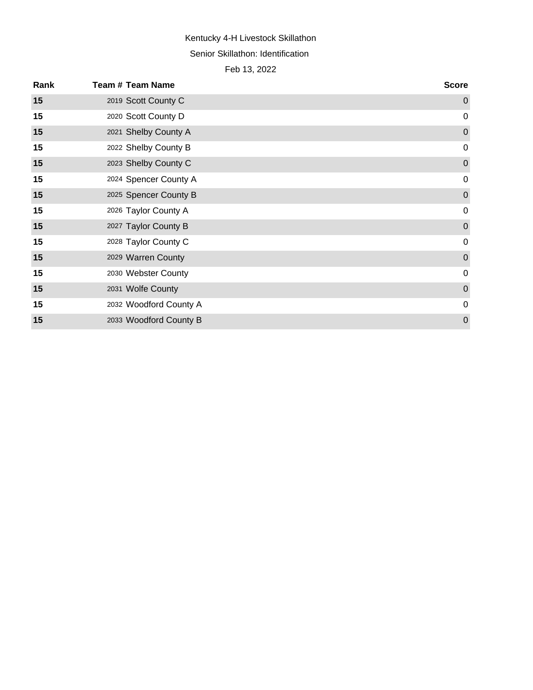# Kentucky 4-H Livestock Skillathon Senior Skillathon: Identification

| Rank | <b>Team # Team Name</b> | <b>Score</b>     |
|------|-------------------------|------------------|
| 15   | 2019 Scott County C     | $\mathbf 0$      |
| 15   | 2020 Scott County D     | $\mathbf 0$      |
| 15   | 2021 Shelby County A    | $\mathbf{0}$     |
| 15   | 2022 Shelby County B    | $\mathbf 0$      |
| 15   | 2023 Shelby County C    | $\mathbf 0$      |
| 15   | 2024 Spencer County A   | $\mathbf 0$      |
| 15   | 2025 Spencer County B   | $\mathbf 0$      |
| 15   | 2026 Taylor County A    | $\mathbf 0$      |
| 15   | 2027 Taylor County B    | $\boldsymbol{0}$ |
| 15   | 2028 Taylor County C    | $\mathbf 0$      |
| 15   | 2029 Warren County      | $\mathbf 0$      |
| 15   | 2030 Webster County     | $\mathbf 0$      |
| 15   | 2031 Wolfe County       | $\mathbf 0$      |
| 15   | 2032 Woodford County A  | $\mathbf 0$      |
| 15   | 2033 Woodford County B  | $\overline{0}$   |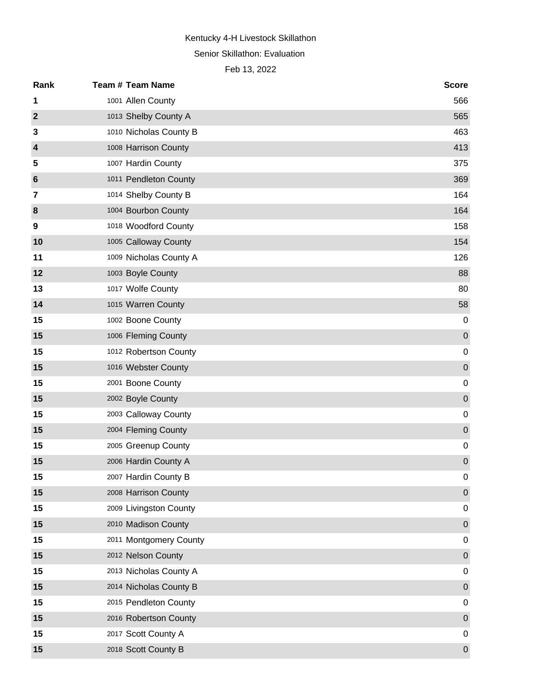Senior Skillathon: Evaluation

| Rank             | <b>Team # Team Name</b> | <b>Score</b> |
|------------------|-------------------------|--------------|
| 1                | 1001 Allen County       | 566          |
| $\boldsymbol{2}$ | 1013 Shelby County A    | 565          |
| 3                | 1010 Nicholas County B  | 463          |
| 4                | 1008 Harrison County    | 413          |
| 5                | 1007 Hardin County      | 375          |
| 6                | 1011 Pendleton County   | 369          |
| 7                | 1014 Shelby County B    | 164          |
| 8                | 1004 Bourbon County     | 164          |
| 9                | 1018 Woodford County    | 158          |
| 10               | 1005 Calloway County    | 154          |
| 11               | 1009 Nicholas County A  | 126          |
| 12               | 1003 Boyle County       | 88           |
| 13               | 1017 Wolfe County       | 80           |
| 14               | 1015 Warren County      | 58           |
| 15               | 1002 Boone County       | 0            |
| 15               | 1006 Fleming County     | $\mathbf 0$  |
| 15               | 1012 Robertson County   | $\mathbf 0$  |
| 15               | 1016 Webster County     | $\mathbf 0$  |
| 15               | 2001 Boone County       | $\mathbf 0$  |
| 15               | 2002 Boyle County       | $\mathbf 0$  |
| 15               | 2003 Calloway County    | $\mathbf 0$  |
| 15               | 2004 Fleming County     | $\mathbf 0$  |
| 15               | 2005 Greenup County     | $\mathbf 0$  |
| 15               | 2006 Hardin County A    | $\mathbf 0$  |
| 15               | 2007 Hardin County B    | $\pmb{0}$    |
| 15               | 2008 Harrison County    | $\mathbf 0$  |
| 15               | 2009 Livingston County  | 0            |
| 15               | 2010 Madison County     | $\mathbf 0$  |
| 15               | 2011 Montgomery County  | 0            |
| 15               | 2012 Nelson County      | $\mathbf 0$  |
| 15               | 2013 Nicholas County A  | $\mathbf 0$  |
| 15               | 2014 Nicholas County B  | $\mathbf 0$  |
| 15               | 2015 Pendleton County   | 0            |
| 15               | 2016 Robertson County   | $\mathbf 0$  |
| 15               | 2017 Scott County A     | 0            |
| 15               | 2018 Scott County B     | $\mathbf 0$  |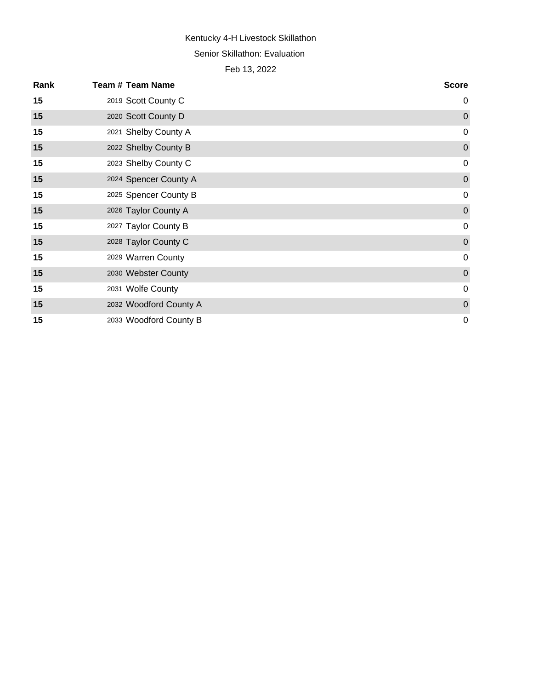Senior Skillathon: Evaluation

| Rank | <b>Team # Team Name</b> | <b>Score</b>   |
|------|-------------------------|----------------|
| 15   | 2019 Scott County C     | $\mathbf 0$    |
| 15   | 2020 Scott County D     | $\overline{0}$ |
| 15   | 2021 Shelby County A    | $\mathbf 0$    |
| 15   | 2022 Shelby County B    | $\pmb{0}$      |
| 15   | 2023 Shelby County C    | $\mathbf 0$    |
| 15   | 2024 Spencer County A   | $\pmb{0}$      |
| 15   | 2025 Spencer County B   | $\mathsf 0$    |
| 15   | 2026 Taylor County A    | $\mathbf 0$    |
| 15   | 2027 Taylor County B    | $\mathbf 0$    |
| 15   | 2028 Taylor County C    | $\pmb{0}$      |
| 15   | 2029 Warren County      | $\mathbf 0$    |
| 15   | 2030 Webster County     | $\pmb{0}$      |
| 15   | 2031 Wolfe County       | $\mathbf 0$    |
| 15   | 2032 Woodford County A  | $\pmb{0}$      |
| 15   | 2033 Woodford County B  | $\mathbf 0$    |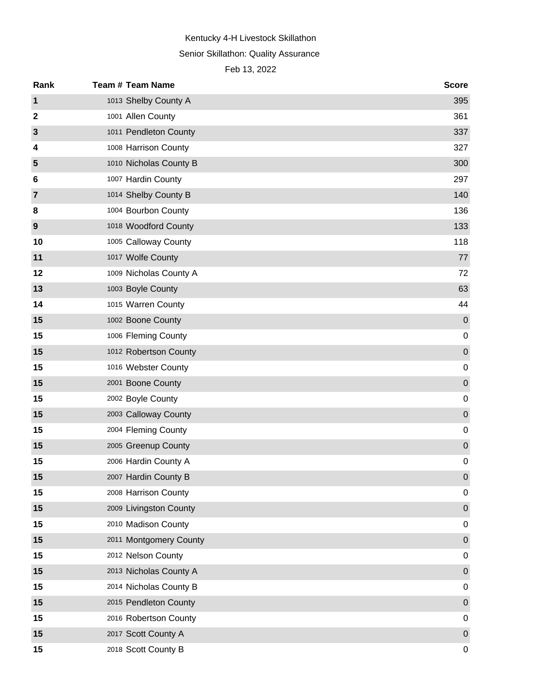# Senior Skillathon: Quality Assurance

| Rank             | <b>Team # Team Name</b> | <b>Score</b>     |
|------------------|-------------------------|------------------|
| $\mathbf 1$      | 1013 Shelby County A    | 395              |
| $\boldsymbol{2}$ | 1001 Allen County       | 361              |
| $\mathbf{3}$     | 1011 Pendleton County   | 337              |
| 4                | 1008 Harrison County    | 327              |
| 5                | 1010 Nicholas County B  | 300              |
| 6                | 1007 Hardin County      | 297              |
| $\overline{7}$   | 1014 Shelby County B    | 140              |
| 8                | 1004 Bourbon County     | 136              |
| 9                | 1018 Woodford County    | 133              |
| 10               | 1005 Calloway County    | 118              |
| 11               | 1017 Wolfe County       | 77               |
| 12               | 1009 Nicholas County A  | 72               |
| 13               | 1003 Boyle County       | 63               |
| 14               | 1015 Warren County      | 44               |
| 15               | 1002 Boone County       | $\pmb{0}$        |
| 15               | 1006 Fleming County     | $\mathbf 0$      |
| 15               | 1012 Robertson County   | $\mathbf 0$      |
| 15               | 1016 Webster County     | $\mathbf 0$      |
| 15               | 2001 Boone County       | $\mathbf 0$      |
| 15               | 2002 Boyle County       | $\mathbf 0$      |
| 15               | 2003 Calloway County    | $\mathbf 0$      |
| 15               | 2004 Fleming County     | $\mathbf 0$      |
| 15               | 2005 Greenup County     | $\pmb{0}$        |
| 15               | 2006 Hardin County A    | $\mathbf 0$      |
| 15               | 2007 Hardin County B    | $\boldsymbol{0}$ |
| 15               | 2008 Harrison County    | 0                |
| 15               | 2009 Livingston County  | $\pmb{0}$        |
| 15               | 2010 Madison County     | 0                |
| 15               | 2011 Montgomery County  | $\pmb{0}$        |
| 15               | 2012 Nelson County      | 0                |
| 15               | 2013 Nicholas County A  | $\pmb{0}$        |
| 15               | 2014 Nicholas County B  | 0                |
| 15               | 2015 Pendleton County   | $\pmb{0}$        |
| 15               | 2016 Robertson County   | 0                |
| 15               | 2017 Scott County A     | $\pmb{0}$        |
| 15               | 2018 Scott County B     | 0                |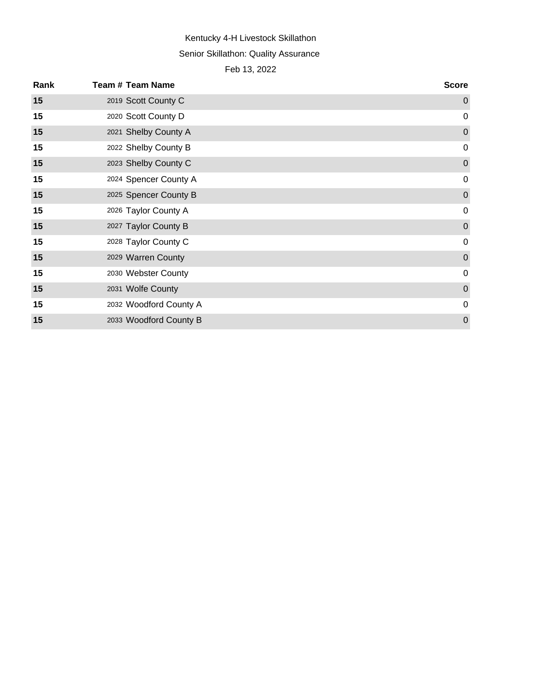# Kentucky 4-H Livestock Skillathon Senior Skillathon: Quality Assurance

| Rank | <b>Team # Team Name</b> | <b>Score</b>     |
|------|-------------------------|------------------|
| 15   | 2019 Scott County C     | $\mathbf 0$      |
| 15   | 2020 Scott County D     | $\mathbf 0$      |
| 15   | 2021 Shelby County A    | $\boldsymbol{0}$ |
| 15   | 2022 Shelby County B    | $\mathbf 0$      |
| 15   | 2023 Shelby County C    | $\boldsymbol{0}$ |
| 15   | 2024 Spencer County A   | $\mathbf 0$      |
| 15   | 2025 Spencer County B   | $\pmb{0}$        |
| 15   | 2026 Taylor County A    | $\mathbf 0$      |
| 15   | 2027 Taylor County B    | $\boldsymbol{0}$ |
| 15   | 2028 Taylor County C    | $\mathbf 0$      |
| 15   | 2029 Warren County      | $\mathbf 0$      |
| 15   | 2030 Webster County     | $\mathbf 0$      |
| 15   | 2031 Wolfe County       | $\mathbf 0$      |
| 15   | 2032 Woodford County A  | $\mathbf 0$      |
| 15   | 2033 Woodford County B  | $\mathbf 0$      |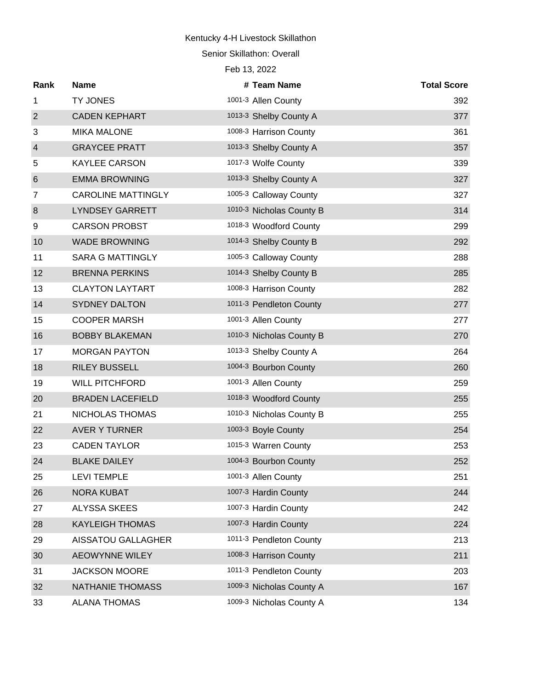Senior Skillathon: Overall

| Rank             | <b>Name</b>               | # Team Name              | <b>Total Score</b> |
|------------------|---------------------------|--------------------------|--------------------|
| $\mathbf{1}$     | <b>TY JONES</b>           | 1001-3 Allen County      | 392                |
| $\overline{2}$   | <b>CADEN KEPHART</b>      | 1013-3 Shelby County A   | 377                |
| 3                | <b>MIKA MALONE</b>        | 1008-3 Harrison County   | 361                |
| $\overline{4}$   | <b>GRAYCEE PRATT</b>      | 1013-3 Shelby County A   | 357                |
| 5                | KAYLEE CARSON             | 1017-3 Wolfe County      | 339                |
| $\,6$            | <b>EMMA BROWNING</b>      | 1013-3 Shelby County A   | 327                |
| $\overline{7}$   | <b>CAROLINE MATTINGLY</b> | 1005-3 Calloway County   | 327                |
| $\boldsymbol{8}$ | <b>LYNDSEY GARRETT</b>    | 1010-3 Nicholas County B | 314                |
| 9                | <b>CARSON PROBST</b>      | 1018-3 Woodford County   | 299                |
| 10               | <b>WADE BROWNING</b>      | 1014-3 Shelby County B   | 292                |
| 11               | <b>SARA G MATTINGLY</b>   | 1005-3 Calloway County   | 288                |
| 12               | <b>BRENNA PERKINS</b>     | 1014-3 Shelby County B   | 285                |
| 13               | <b>CLAYTON LAYTART</b>    | 1008-3 Harrison County   | 282                |
| 14               | <b>SYDNEY DALTON</b>      | 1011-3 Pendleton County  | 277                |
| 15               | <b>COOPER MARSH</b>       | 1001-3 Allen County      | 277                |
| 16               | <b>BOBBY BLAKEMAN</b>     | 1010-3 Nicholas County B | 270                |
| 17               | <b>MORGAN PAYTON</b>      | 1013-3 Shelby County A   | 264                |
| 18               | <b>RILEY BUSSELL</b>      | 1004-3 Bourbon County    | 260                |
| 19               | <b>WILL PITCHFORD</b>     | 1001-3 Allen County      | 259                |
| 20               | <b>BRADEN LACEFIELD</b>   | 1018-3 Woodford County   | 255                |
| 21               | NICHOLAS THOMAS           | 1010-3 Nicholas County B | 255                |
| 22               | <b>AVER Y TURNER</b>      | 1003-3 Boyle County      | 254                |
| 23               | <b>CADEN TAYLOR</b>       | 1015-3 Warren County     | 253                |
| 24               | <b>BLAKE DAILEY</b>       | 1004-3 Bourbon County    | 252                |
| 25               | <b>LEVI TEMPLE</b>        | 1001-3 Allen County      | 251                |
| 26               | <b>NORA KUBAT</b>         | 1007-3 Hardin County     | 244                |
| 27               | ALYSSA SKEES              | 1007-3 Hardin County     | 242                |
| 28               | <b>KAYLEIGH THOMAS</b>    | 1007-3 Hardin County     | 224                |
| 29               | <b>AISSATOU GALLAGHER</b> | 1011-3 Pendleton County  | 213                |
| 30               | <b>AEOWYNNE WILEY</b>     | 1008-3 Harrison County   | 211                |
| 31               | <b>JACKSON MOORE</b>      | 1011-3 Pendleton County  | 203                |
| 32               | NATHANIE THOMASS          | 1009-3 Nicholas County A | 167                |
| 33               | <b>ALANA THOMAS</b>       | 1009-3 Nicholas County A | 134                |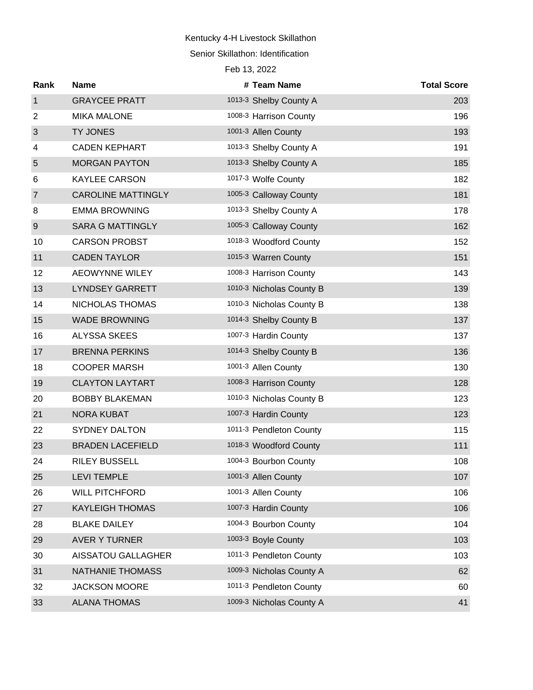#### Senior Skillathon: Identification

| Rank             | <b>Name</b>               | # Team Name              | <b>Total Score</b> |
|------------------|---------------------------|--------------------------|--------------------|
| $\mathbf 1$      | <b>GRAYCEE PRATT</b>      | 1013-3 Shelby County A   | 203                |
| $\overline{2}$   | <b>MIKA MALONE</b>        | 1008-3 Harrison County   | 196                |
| 3                | <b>TY JONES</b>           | 1001-3 Allen County      | 193                |
| 4                | <b>CADEN KEPHART</b>      | 1013-3 Shelby County A   | 191                |
| 5                | <b>MORGAN PAYTON</b>      | 1013-3 Shelby County A   | 185                |
| 6                | <b>KAYLEE CARSON</b>      | 1017-3 Wolfe County      | 182                |
| $\overline{7}$   | <b>CAROLINE MATTINGLY</b> | 1005-3 Calloway County   | 181                |
| 8                | <b>EMMA BROWNING</b>      | 1013-3 Shelby County A   | 178                |
| $\boldsymbol{9}$ | <b>SARA G MATTINGLY</b>   | 1005-3 Calloway County   | 162                |
| 10               | <b>CARSON PROBST</b>      | 1018-3 Woodford County   | 152                |
| 11               | <b>CADEN TAYLOR</b>       | 1015-3 Warren County     | 151                |
| 12               | <b>AEOWYNNE WILEY</b>     | 1008-3 Harrison County   | 143                |
| 13               | <b>LYNDSEY GARRETT</b>    | 1010-3 Nicholas County B | 139                |
| 14               | NICHOLAS THOMAS           | 1010-3 Nicholas County B | 138                |
| 15               | <b>WADE BROWNING</b>      | 1014-3 Shelby County B   | 137                |
| 16               | <b>ALYSSA SKEES</b>       | 1007-3 Hardin County     | 137                |
| 17               | <b>BRENNA PERKINS</b>     | 1014-3 Shelby County B   | 136                |
| 18               | <b>COOPER MARSH</b>       | 1001-3 Allen County      | 130                |
| 19               | <b>CLAYTON LAYTART</b>    | 1008-3 Harrison County   | 128                |
| 20               | <b>BOBBY BLAKEMAN</b>     | 1010-3 Nicholas County B | 123                |
| 21               | <b>NORA KUBAT</b>         | 1007-3 Hardin County     | 123                |
| 22               | <b>SYDNEY DALTON</b>      | 1011-3 Pendleton County  | 115                |
| 23               | <b>BRADEN LACEFIELD</b>   | 1018-3 Woodford County   | 111                |
| 24               | <b>RILEY BUSSELL</b>      | 1004-3 Bourbon County    | 108                |
| 25               | <b>LEVI TEMPLE</b>        | 1001-3 Allen County      | 107                |
| 26               | <b>WILL PITCHFORD</b>     | 1001-3 Allen County      | 106                |
| 27               | <b>KAYLEIGH THOMAS</b>    | 1007-3 Hardin County     | 106                |
| 28               | <b>BLAKE DAILEY</b>       | 1004-3 Bourbon County    | 104                |
| 29               | <b>AVER Y TURNER</b>      | 1003-3 Boyle County      | 103                |
| 30               | <b>AISSATOU GALLAGHER</b> | 1011-3 Pendleton County  | 103                |
| 31               | <b>NATHANIE THOMASS</b>   | 1009-3 Nicholas County A | 62                 |
| 32               | <b>JACKSON MOORE</b>      | 1011-3 Pendleton County  | 60                 |
| 33               | <b>ALANA THOMAS</b>       | 1009-3 Nicholas County A | 41                 |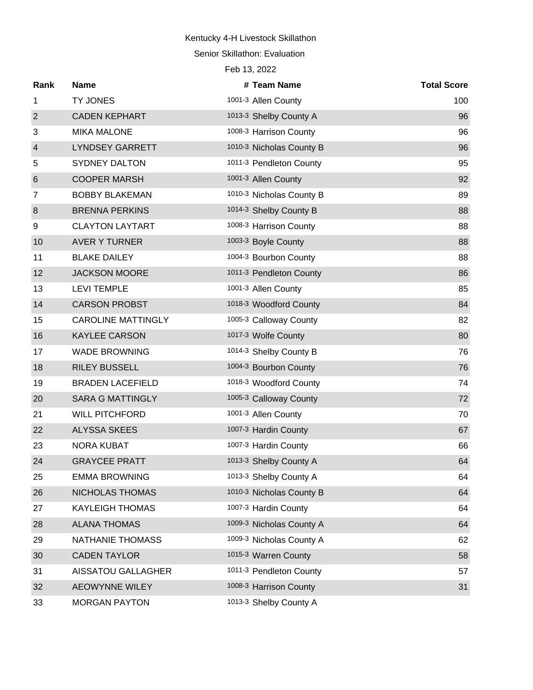Senior Skillathon: Evaluation

| Rank             | <b>Name</b>               | # Team Name              | <b>Total Score</b> |
|------------------|---------------------------|--------------------------|--------------------|
| 1                | TY JONES                  | 1001-3 Allen County      | 100                |
| $\overline{2}$   | <b>CADEN KEPHART</b>      | 1013-3 Shelby County A   | 96                 |
| 3                | <b>MIKA MALONE</b>        | 1008-3 Harrison County   | 96                 |
| $\overline{4}$   | <b>LYNDSEY GARRETT</b>    | 1010-3 Nicholas County B | 96                 |
| 5                | <b>SYDNEY DALTON</b>      | 1011-3 Pendleton County  | 95                 |
| $6\,$            | <b>COOPER MARSH</b>       | 1001-3 Allen County      | 92                 |
| 7                | <b>BOBBY BLAKEMAN</b>     | 1010-3 Nicholas County B | 89                 |
| $\boldsymbol{8}$ | <b>BRENNA PERKINS</b>     | 1014-3 Shelby County B   | 88                 |
| 9                | <b>CLAYTON LAYTART</b>    | 1008-3 Harrison County   | 88                 |
| 10               | <b>AVER Y TURNER</b>      | 1003-3 Boyle County      | 88                 |
| 11               | <b>BLAKE DAILEY</b>       | 1004-3 Bourbon County    | 88                 |
| 12               | <b>JACKSON MOORE</b>      | 1011-3 Pendleton County  | 86                 |
| 13               | <b>LEVI TEMPLE</b>        | 1001-3 Allen County      | 85                 |
| 14               | <b>CARSON PROBST</b>      | 1018-3 Woodford County   | 84                 |
| 15               | <b>CAROLINE MATTINGLY</b> | 1005-3 Calloway County   | 82                 |
| 16               | <b>KAYLEE CARSON</b>      | 1017-3 Wolfe County      | 80                 |
| 17               | <b>WADE BROWNING</b>      | 1014-3 Shelby County B   | 76                 |
| 18               | <b>RILEY BUSSELL</b>      | 1004-3 Bourbon County    | 76                 |
| 19               | <b>BRADEN LACEFIELD</b>   | 1018-3 Woodford County   | 74                 |
| 20               | <b>SARA G MATTINGLY</b>   | 1005-3 Calloway County   | 72                 |
| 21               | <b>WILL PITCHFORD</b>     | 1001-3 Allen County      | 70                 |
| 22               | <b>ALYSSA SKEES</b>       | 1007-3 Hardin County     | 67                 |
| 23               | <b>NORA KUBAT</b>         | 1007-3 Hardin County     | 66                 |
| 24               | <b>GRAYCEE PRATT</b>      | 1013-3 Shelby County A   | 64                 |
| 25               | <b>EMMA BROWNING</b>      | 1013-3 Shelby County A   | 64                 |
| 26               | NICHOLAS THOMAS           | 1010-3 Nicholas County B | 64                 |
| 27               | <b>KAYLEIGH THOMAS</b>    | 1007-3 Hardin County     | 64                 |
| 28               | <b>ALANA THOMAS</b>       | 1009-3 Nicholas County A | 64                 |
| 29               | NATHANIE THOMASS          | 1009-3 Nicholas County A | 62                 |
| 30               | <b>CADEN TAYLOR</b>       | 1015-3 Warren County     | 58                 |
| 31               | AISSATOU GALLAGHER        | 1011-3 Pendleton County  | 57                 |
| 32               | <b>AEOWYNNE WILEY</b>     | 1008-3 Harrison County   | 31                 |
| 33               | <b>MORGAN PAYTON</b>      | 1013-3 Shelby County A   |                    |